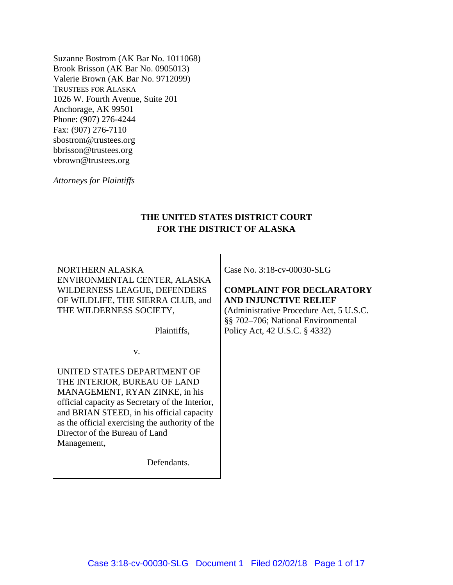Suzanne Bostrom (AK Bar No. 1011068) Brook Brisson (AK Bar No. 0905013) Valerie Brown (AK Bar No. 9712099) TRUSTEES FOR ALASKA 1026 W. Fourth Avenue, Suite 201 Anchorage, AK 99501 Phone: (907) 276-4244 Fax: (907) 276-7110 sbostrom@trustees.org bbrisson@trustees.org vbrown@trustees.org

*Attorneys for Plaintiffs*

# **THE UNITED STATES DISTRICT COURT FOR THE DISTRICT OF ALASKA**

NORTHERN ALASKA ENVIRONMENTAL CENTER, ALASKA WILDERNESS LEAGUE, DEFENDERS OF WILDLIFE, THE SIERRA CLUB, and THE WILDERNESS SOCIETY,

Plaintiffs,

v.

UNITED STATES DEPARTMENT OF THE INTERIOR, BUREAU OF LAND MANAGEMENT, RYAN ZINKE, in his official capacity as Secretary of the Interior, and BRIAN STEED, in his official capacity as the official exercising the authority of the Director of the Bureau of Land Management,

Defendants.

Case No. 3:18-cv-00030-SLG

## **COMPLAINT FOR DECLARATORY AND INJUNCTIVE RELIEF**

(Administrative Procedure Act, 5 U.S.C. §§ 702–706; National Environmental Policy Act, 42 U.S.C. § 4332)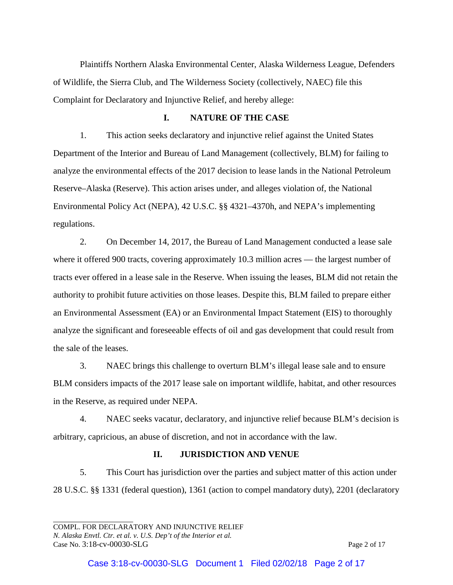Plaintiffs Northern Alaska Environmental Center, Alaska Wilderness League, Defenders of Wildlife, the Sierra Club, and The Wilderness Society (collectively, NAEC) file this Complaint for Declaratory and Injunctive Relief, and hereby allege:

## **I. NATURE OF THE CASE**

1. This action seeks declaratory and injunctive relief against the United States Department of the Interior and Bureau of Land Management (collectively, BLM) for failing to analyze the environmental effects of the 2017 decision to lease lands in the National Petroleum Reserve–Alaska (Reserve). This action arises under, and alleges violation of, the National Environmental Policy Act (NEPA), 42 U.S.C. §§ 4321–4370h, and NEPA's implementing regulations.

2. On December 14, 2017, the Bureau of Land Management conducted a lease sale where it offered 900 tracts, covering approximately 10.3 million acres — the largest number of tracts ever offered in a lease sale in the Reserve. When issuing the leases, BLM did not retain the authority to prohibit future activities on those leases. Despite this, BLM failed to prepare either an Environmental Assessment (EA) or an Environmental Impact Statement (EIS) to thoroughly analyze the significant and foreseeable effects of oil and gas development that could result from the sale of the leases.

3. NAEC brings this challenge to overturn BLM's illegal lease sale and to ensure BLM considers impacts of the 2017 lease sale on important wildlife, habitat, and other resources in the Reserve, as required under NEPA.

4. NAEC seeks vacatur, declaratory, and injunctive relief because BLM's decision is arbitrary, capricious, an abuse of discretion, and not in accordance with the law.

## **II. JURISDICTION AND VENUE**

5. This Court has jurisdiction over the parties and subject matter of this action under 28 U.S.C. §§ 1331 (federal question), 1361 (action to compel mandatory duty), 2201 (declaratory

COMPL. FOR DECLARATORY AND INJUNCTIVE RELIEF *N. Alaska Envtl. Ctr. et al. v. U.S. Dep't of the Interior et al.* Case No. 3:18-cv-00030-SLG Page 2 of 17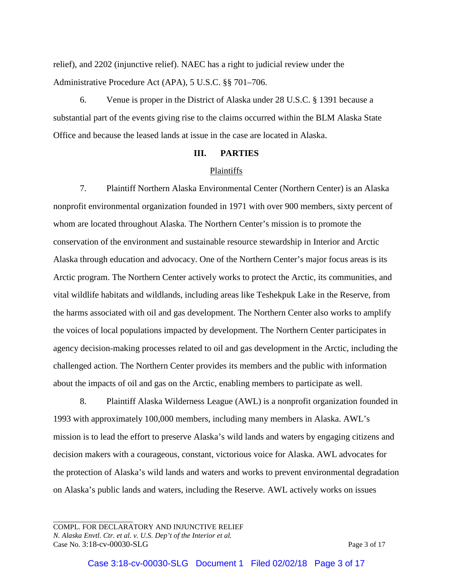relief), and 2202 (injunctive relief). NAEC has a right to judicial review under the Administrative Procedure Act (APA), 5 U.S.C. §§ 701–706.

6. Venue is proper in the District of Alaska under 28 U.S.C. § 1391 because a substantial part of the events giving rise to the claims occurred within the BLM Alaska State Office and because the leased lands at issue in the case are located in Alaska.

#### **III. PARTIES**

#### Plaintiffs

7. Plaintiff Northern Alaska Environmental Center (Northern Center) is an Alaska nonprofit environmental organization founded in 1971 with over 900 members, sixty percent of whom are located throughout Alaska. The Northern Center's mission is to promote the conservation of the environment and sustainable resource stewardship in Interior and Arctic Alaska through education and advocacy. One of the Northern Center's major focus areas is its Arctic program. The Northern Center actively works to protect the Arctic, its communities, and vital wildlife habitats and wildlands, including areas like Teshekpuk Lake in the Reserve, from the harms associated with oil and gas development. The Northern Center also works to amplify the voices of local populations impacted by development. The Northern Center participates in agency decision-making processes related to oil and gas development in the Arctic, including the challenged action. The Northern Center provides its members and the public with information about the impacts of oil and gas on the Arctic, enabling members to participate as well.

8. Plaintiff Alaska Wilderness League (AWL) is a nonprofit organization founded in 1993 with approximately 100,000 members, including many members in Alaska. AWL's mission is to lead the effort to preserve Alaska's wild lands and waters by engaging citizens and decision makers with a courageous, constant, victorious voice for Alaska. AWL advocates for the protection of Alaska's wild lands and waters and works to prevent environmental degradation on Alaska's public lands and waters, including the Reserve. AWL actively works on issues

COMPL. FOR DECLARATORY AND INJUNCTIVE RELIEF *N. Alaska Envtl. Ctr. et al. v. U.S. Dep't of the Interior et al.* Case No. 3:18-cv-00030-SLG Page 3 of 17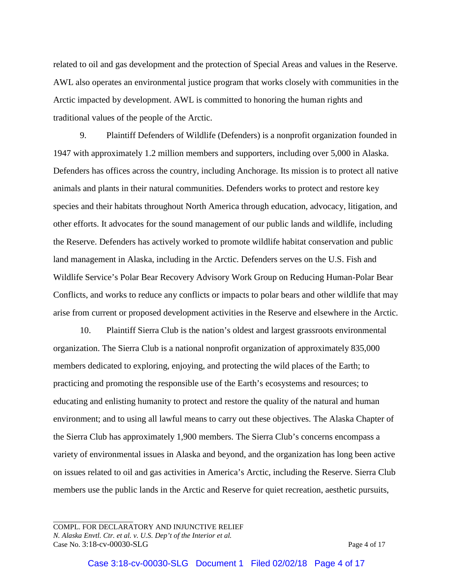related to oil and gas development and the protection of Special Areas and values in the Reserve. AWL also operates an environmental justice program that works closely with communities in the Arctic impacted by development. AWL is committed to honoring the human rights and traditional values of the people of the Arctic.

9. Plaintiff Defenders of Wildlife (Defenders) is a nonprofit organization founded in 1947 with approximately 1.2 million members and supporters, including over 5,000 in Alaska. Defenders has offices across the country, including Anchorage. Its mission is to protect all native animals and plants in their natural communities. Defenders works to protect and restore key species and their habitats throughout North America through education, advocacy, litigation, and other efforts. It advocates for the sound management of our public lands and wildlife, including the Reserve. Defenders has actively worked to promote wildlife habitat conservation and public land management in Alaska, including in the Arctic. Defenders serves on the U.S. Fish and Wildlife Service's Polar Bear Recovery Advisory Work Group on Reducing Human-Polar Bear Conflicts, and works to reduce any conflicts or impacts to polar bears and other wildlife that may arise from current or proposed development activities in the Reserve and elsewhere in the Arctic.

10. Plaintiff Sierra Club is the nation's oldest and largest grassroots environmental organization. The Sierra Club is a national nonprofit organization of approximately 835,000 members dedicated to exploring, enjoying, and protecting the wild places of the Earth; to practicing and promoting the responsible use of the Earth's ecosystems and resources; to educating and enlisting humanity to protect and restore the quality of the natural and human environment; and to using all lawful means to carry out these objectives. The Alaska Chapter of the Sierra Club has approximately 1,900 members. The Sierra Club's concerns encompass a variety of environmental issues in Alaska and beyond, and the organization has long been active on issues related to oil and gas activities in America's Arctic, including the Reserve. Sierra Club members use the public lands in the Arctic and Reserve for quiet recreation, aesthetic pursuits,

COMPL. FOR DECLARATORY AND INJUNCTIVE RELIEF *N. Alaska Envtl. Ctr. et al. v. U.S. Dep't of the Interior et al.* Case No. 3:18-cv-00030-SLG Page 4 of 17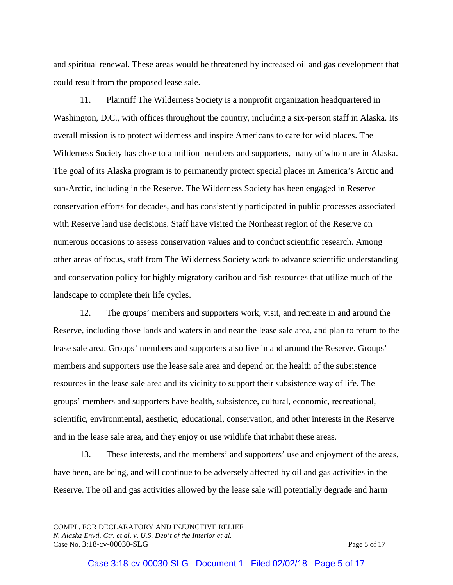and spiritual renewal. These areas would be threatened by increased oil and gas development that could result from the proposed lease sale.

11. Plaintiff The Wilderness Society is a nonprofit organization headquartered in Washington, D.C., with offices throughout the country, including a six-person staff in Alaska. Its overall mission is to protect wilderness and inspire Americans to care for wild places. The Wilderness Society has close to a million members and supporters, many of whom are in Alaska. The goal of its Alaska program is to permanently protect special places in America's Arctic and sub-Arctic, including in the Reserve. The Wilderness Society has been engaged in Reserve conservation efforts for decades, and has consistently participated in public processes associated with Reserve land use decisions. Staff have visited the Northeast region of the Reserve on numerous occasions to assess conservation values and to conduct scientific research. Among other areas of focus, staff from The Wilderness Society work to advance scientific understanding and conservation policy for highly migratory caribou and fish resources that utilize much of the landscape to complete their life cycles.

12. The groups' members and supporters work, visit, and recreate in and around the Reserve, including those lands and waters in and near the lease sale area, and plan to return to the lease sale area. Groups' members and supporters also live in and around the Reserve. Groups' members and supporters use the lease sale area and depend on the health of the subsistence resources in the lease sale area and its vicinity to support their subsistence way of life. The groups' members and supporters have health, subsistence, cultural, economic, recreational, scientific, environmental, aesthetic, educational, conservation, and other interests in the Reserve and in the lease sale area, and they enjoy or use wildlife that inhabit these areas.

13. These interests, and the members' and supporters' use and enjoyment of the areas, have been, are being, and will continue to be adversely affected by oil and gas activities in the Reserve. The oil and gas activities allowed by the lease sale will potentially degrade and harm

COMPL. FOR DECLARATORY AND INJUNCTIVE RELIEF *N. Alaska Envtl. Ctr. et al. v. U.S. Dep't of the Interior et al.* Case No. 3:18-cv-00030-SLG Page 5 of 17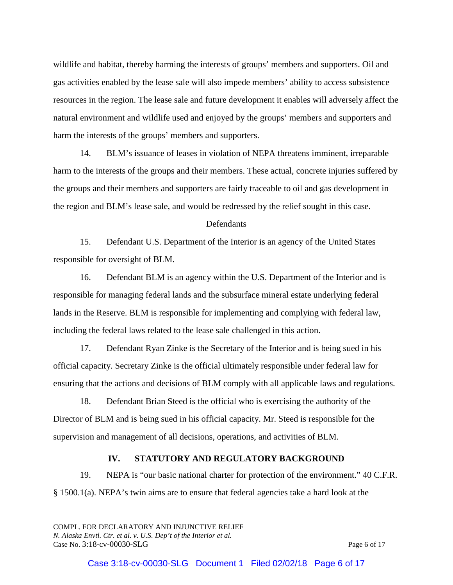wildlife and habitat, thereby harming the interests of groups' members and supporters. Oil and gas activities enabled by the lease sale will also impede members' ability to access subsistence resources in the region. The lease sale and future development it enables will adversely affect the natural environment and wildlife used and enjoyed by the groups' members and supporters and harm the interests of the groups' members and supporters.

14. BLM's issuance of leases in violation of NEPA threatens imminent, irreparable harm to the interests of the groups and their members. These actual, concrete injuries suffered by the groups and their members and supporters are fairly traceable to oil and gas development in the region and BLM's lease sale, and would be redressed by the relief sought in this case.

### Defendants

15. Defendant U.S. Department of the Interior is an agency of the United States responsible for oversight of BLM.

16. Defendant BLM is an agency within the U.S. Department of the Interior and is responsible for managing federal lands and the subsurface mineral estate underlying federal lands in the Reserve. BLM is responsible for implementing and complying with federal law, including the federal laws related to the lease sale challenged in this action.

17. Defendant Ryan Zinke is the Secretary of the Interior and is being sued in his official capacity. Secretary Zinke is the official ultimately responsible under federal law for ensuring that the actions and decisions of BLM comply with all applicable laws and regulations.

18. Defendant Brian Steed is the official who is exercising the authority of the Director of BLM and is being sued in his official capacity. Mr. Steed is responsible for the supervision and management of all decisions, operations, and activities of BLM.

#### **IV. STATUTORY AND REGULATORY BACKGROUND**

19. NEPA is "our basic national charter for protection of the environment." 40 C.F.R. § 1500.1(a). NEPA's twin aims are to ensure that federal agencies take a hard look at the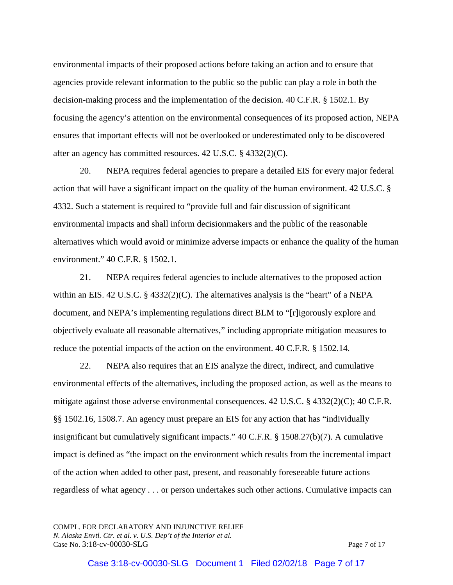environmental impacts of their proposed actions before taking an action and to ensure that agencies provide relevant information to the public so the public can play a role in both the decision-making process and the implementation of the decision. 40 C.F.R. § 1502.1. By focusing the agency's attention on the environmental consequences of its proposed action, NEPA ensures that important effects will not be overlooked or underestimated only to be discovered after an agency has committed resources. 42 U.S.C. § 4332(2)(C).

20. NEPA requires federal agencies to prepare a detailed EIS for every major federal action that will have a significant impact on the quality of the human environment. 42 U.S.C. § 4332. Such a statement is required to "provide full and fair discussion of significant environmental impacts and shall inform decisionmakers and the public of the reasonable alternatives which would avoid or minimize adverse impacts or enhance the quality of the human environment." 40 C.F.R. § 1502.1.

21. NEPA requires federal agencies to include alternatives to the proposed action within an EIS. 42 U.S.C. § 4332(2)(C). The alternatives analysis is the "heart" of a NEPA document, and NEPA's implementing regulations direct BLM to "[r]igorously explore and objectively evaluate all reasonable alternatives," including appropriate mitigation measures to reduce the potential impacts of the action on the environment. 40 C.F.R. § 1502.14.

22. NEPA also requires that an EIS analyze the direct, indirect, and cumulative environmental effects of the alternatives, including the proposed action, as well as the means to mitigate against those adverse environmental consequences. 42 U.S.C. § 4332(2)(C); 40 C.F.R. §§ 1502.16, 1508.7. An agency must prepare an EIS for any action that has "individually insignificant but cumulatively significant impacts." 40 C.F.R. § 1508.27(b)(7). A cumulative impact is defined as "the impact on the environment which results from the incremental impact of the action when added to other past, present, and reasonably foreseeable future actions regardless of what agency . . . or person undertakes such other actions. Cumulative impacts can

COMPL. FOR DECLARATORY AND INJUNCTIVE RELIEF *N. Alaska Envtl. Ctr. et al. v. U.S. Dep't of the Interior et al.* Case No. 3:18-cv-00030-SLG Page 7 of 17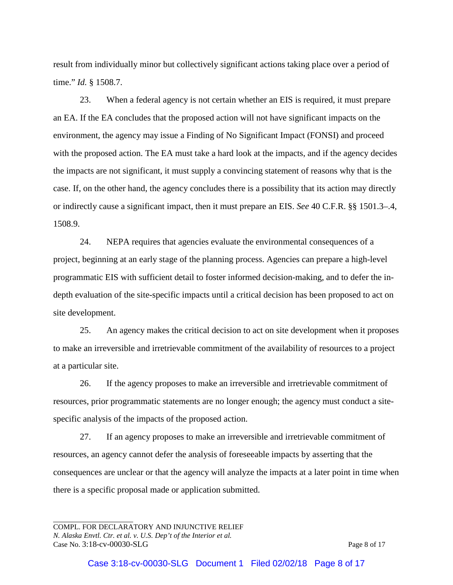result from individually minor but collectively significant actions taking place over a period of time." *Id.* § 1508.7.

23. When a federal agency is not certain whether an EIS is required, it must prepare an EA. If the EA concludes that the proposed action will not have significant impacts on the environment, the agency may issue a Finding of No Significant Impact (FONSI) and proceed with the proposed action. The EA must take a hard look at the impacts, and if the agency decides the impacts are not significant, it must supply a convincing statement of reasons why that is the case. If, on the other hand, the agency concludes there is a possibility that its action may directly or indirectly cause a significant impact, then it must prepare an EIS. *See* 40 C.F.R. §§ 1501.3–.4, 1508.9.

24. NEPA requires that agencies evaluate the environmental consequences of a project, beginning at an early stage of the planning process. Agencies can prepare a high-level programmatic EIS with sufficient detail to foster informed decision-making, and to defer the indepth evaluation of the site-specific impacts until a critical decision has been proposed to act on site development.

25. An agency makes the critical decision to act on site development when it proposes to make an irreversible and irretrievable commitment of the availability of resources to a project at a particular site.

26. If the agency proposes to make an irreversible and irretrievable commitment of resources, prior programmatic statements are no longer enough; the agency must conduct a sitespecific analysis of the impacts of the proposed action.

27. If an agency proposes to make an irreversible and irretrievable commitment of resources, an agency cannot defer the analysis of foreseeable impacts by asserting that the consequences are unclear or that the agency will analyze the impacts at a later point in time when there is a specific proposal made or application submitted.

COMPL. FOR DECLARATORY AND INJUNCTIVE RELIEF *N. Alaska Envtl. Ctr. et al. v. U.S. Dep't of the Interior et al.* Case No. 3:18-cv-00030-SLG Page 8 of 17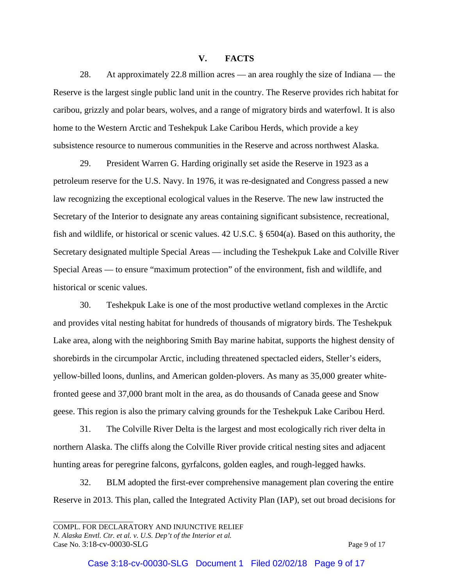## **V. FACTS**

28. At approximately 22.8 million acres — an area roughly the size of Indiana — the Reserve is the largest single public land unit in the country. The Reserve provides rich habitat for caribou, grizzly and polar bears, wolves, and a range of migratory birds and waterfowl. It is also home to the Western Arctic and Teshekpuk Lake Caribou Herds, which provide a key subsistence resource to numerous communities in the Reserve and across northwest Alaska.

29. President Warren G. Harding originally set aside the Reserve in 1923 as a petroleum reserve for the U.S. Navy. In 1976, it was re-designated and Congress passed a new law recognizing the exceptional ecological values in the Reserve. The new law instructed the Secretary of the Interior to designate any areas containing significant subsistence, recreational, fish and wildlife, or historical or scenic values. 42 U.S.C. § 6504(a). Based on this authority, the Secretary designated multiple Special Areas — including the Teshekpuk Lake and Colville River Special Areas — to ensure "maximum protection" of the environment, fish and wildlife, and historical or scenic values.

30. Teshekpuk Lake is one of the most productive wetland complexes in the Arctic and provides vital nesting habitat for hundreds of thousands of migratory birds. The Teshekpuk Lake area, along with the neighboring Smith Bay marine habitat, supports the highest density of shorebirds in the circumpolar Arctic, including threatened spectacled eiders, Steller's eiders, yellow-billed loons, dunlins, and American golden-plovers. As many as 35,000 greater whitefronted geese and 37,000 brant molt in the area, as do thousands of Canada geese and Snow geese. This region is also the primary calving grounds for the Teshekpuk Lake Caribou Herd.

31. The Colville River Delta is the largest and most ecologically rich river delta in northern Alaska. The cliffs along the Colville River provide critical nesting sites and adjacent hunting areas for peregrine falcons, gyrfalcons, golden eagles, and rough-legged hawks.

32. BLM adopted the first-ever comprehensive management plan covering the entire Reserve in 2013. This plan, called the Integrated Activity Plan (IAP), set out broad decisions for

COMPL. FOR DECLARATORY AND INJUNCTIVE RELIEF *N. Alaska Envtl. Ctr. et al. v. U.S. Dep't of the Interior et al.* Case No. 3:18-cv-00030-SLG Page 9 of 17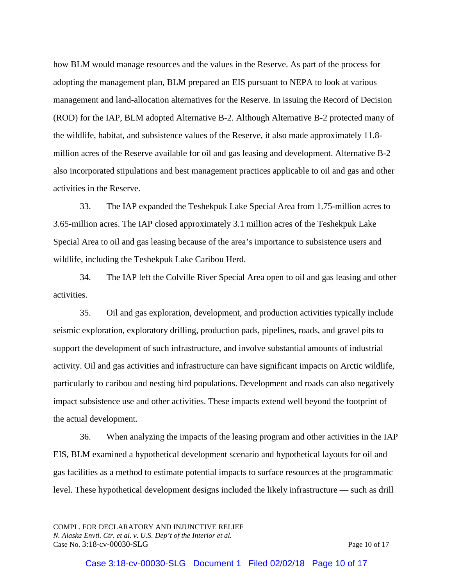how BLM would manage resources and the values in the Reserve. As part of the process for adopting the management plan, BLM prepared an EIS pursuant to NEPA to look at various management and land-allocation alternatives for the Reserve. In issuing the Record of Decision (ROD) for the IAP, BLM adopted Alternative B-2. Although Alternative B-2 protected many of the wildlife, habitat, and subsistence values of the Reserve, it also made approximately 11.8 million acres of the Reserve available for oil and gas leasing and development. Alternative B-2 also incorporated stipulations and best management practices applicable to oil and gas and other activities in the Reserve.

33. The IAP expanded the Teshekpuk Lake Special Area from 1.75-million acres to 3.65-million acres. The IAP closed approximately 3.1 million acres of the Teshekpuk Lake Special Area to oil and gas leasing because of the area's importance to subsistence users and wildlife, including the Teshekpuk Lake Caribou Herd.

34. The IAP left the Colville River Special Area open to oil and gas leasing and other activities.

35. Oil and gas exploration, development, and production activities typically include seismic exploration, exploratory drilling, production pads, pipelines, roads, and gravel pits to support the development of such infrastructure, and involve substantial amounts of industrial activity. Oil and gas activities and infrastructure can have significant impacts on Arctic wildlife, particularly to caribou and nesting bird populations. Development and roads can also negatively impact subsistence use and other activities. These impacts extend well beyond the footprint of the actual development.

36. When analyzing the impacts of the leasing program and other activities in the IAP EIS, BLM examined a hypothetical development scenario and hypothetical layouts for oil and gas facilities as a method to estimate potential impacts to surface resources at the programmatic level. These hypothetical development designs included the likely infrastructure — such as drill

COMPL. FOR DECLARATORY AND INJUNCTIVE RELIEF *N. Alaska Envtl. Ctr. et al. v. U.S. Dep't of the Interior et al.* Case No. 3:18-cv-00030-SLG Page 10 of 17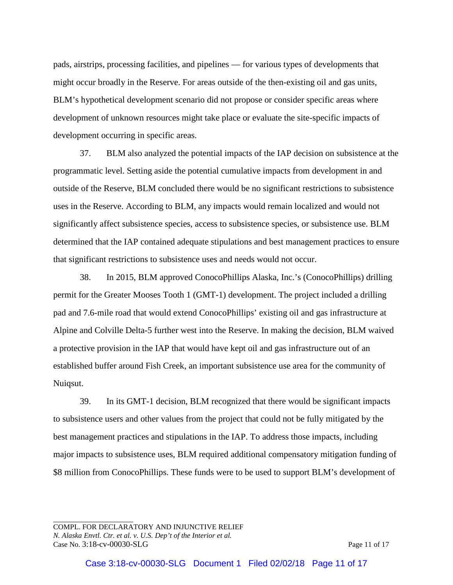pads, airstrips, processing facilities, and pipelines — for various types of developments that might occur broadly in the Reserve. For areas outside of the then-existing oil and gas units, BLM's hypothetical development scenario did not propose or consider specific areas where development of unknown resources might take place or evaluate the site-specific impacts of development occurring in specific areas.

37. BLM also analyzed the potential impacts of the IAP decision on subsistence at the programmatic level. Setting aside the potential cumulative impacts from development in and outside of the Reserve, BLM concluded there would be no significant restrictions to subsistence uses in the Reserve. According to BLM, any impacts would remain localized and would not significantly affect subsistence species, access to subsistence species, or subsistence use. BLM determined that the IAP contained adequate stipulations and best management practices to ensure that significant restrictions to subsistence uses and needs would not occur.

38. In 2015, BLM approved ConocoPhillips Alaska, Inc.'s (ConocoPhillips) drilling permit for the Greater Mooses Tooth 1 (GMT-1) development. The project included a drilling pad and 7.6-mile road that would extend ConocoPhillips' existing oil and gas infrastructure at Alpine and Colville Delta-5 further west into the Reserve. In making the decision, BLM waived a protective provision in the IAP that would have kept oil and gas infrastructure out of an established buffer around Fish Creek, an important subsistence use area for the community of Nuiqsut.

39. In its GMT-1 decision, BLM recognized that there would be significant impacts to subsistence users and other values from the project that could not be fully mitigated by the best management practices and stipulations in the IAP. To address those impacts, including major impacts to subsistence uses, BLM required additional compensatory mitigation funding of \$8 million from ConocoPhillips. These funds were to be used to support BLM's development of

COMPL. FOR DECLARATORY AND INJUNCTIVE RELIEF *N. Alaska Envtl. Ctr. et al. v. U.S. Dep't of the Interior et al.* Case No. 3:18-cv-00030-SLG Page 11 of 17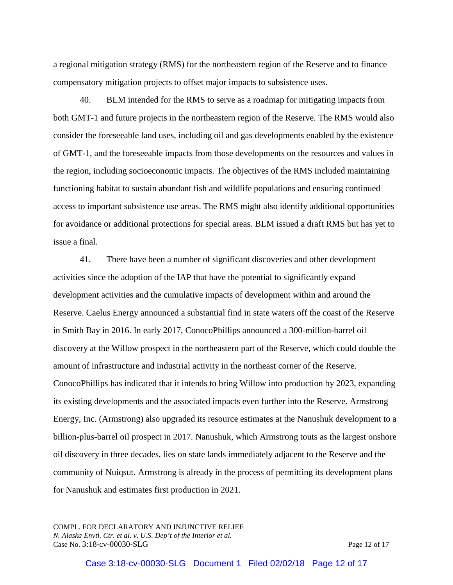a regional mitigation strategy (RMS) for the northeastern region of the Reserve and to finance compensatory mitigation projects to offset major impacts to subsistence uses.

40. BLM intended for the RMS to serve as a roadmap for mitigating impacts from both GMT-1 and future projects in the northeastern region of the Reserve. The RMS would also consider the foreseeable land uses, including oil and gas developments enabled by the existence of GMT-1, and the foreseeable impacts from those developments on the resources and values in the region, including socioeconomic impacts. The objectives of the RMS included maintaining functioning habitat to sustain abundant fish and wildlife populations and ensuring continued access to important subsistence use areas. The RMS might also identify additional opportunities for avoidance or additional protections for special areas. BLM issued a draft RMS but has yet to issue a final.

41. There have been a number of significant discoveries and other development activities since the adoption of the IAP that have the potential to significantly expand development activities and the cumulative impacts of development within and around the Reserve. Caelus Energy announced a substantial find in state waters off the coast of the Reserve in Smith Bay in 2016. In early 2017, ConocoPhillips announced a 300-million-barrel oil discovery at the Willow prospect in the northeastern part of the Reserve, which could double the amount of infrastructure and industrial activity in the northeast corner of the Reserve. ConocoPhillips has indicated that it intends to bring Willow into production by 2023, expanding its existing developments and the associated impacts even further into the Reserve. Armstrong Energy, Inc. (Armstrong) also upgraded its resource estimates at the Nanushuk development to a billion-plus-barrel oil prospect in 2017. Nanushuk, which Armstrong touts as the largest onshore oil discovery in three decades, lies on state lands immediately adjacent to the Reserve and the community of Nuiqsut. Armstrong is already in the process of permitting its development plans for Nanushuk and estimates first production in 2021.

COMPL. FOR DECLARATORY AND INJUNCTIVE RELIEF *N. Alaska Envtl. Ctr. et al. v. U.S. Dep't of the Interior et al.* Case No. 3:18-cv-00030-SLG Page 12 of 17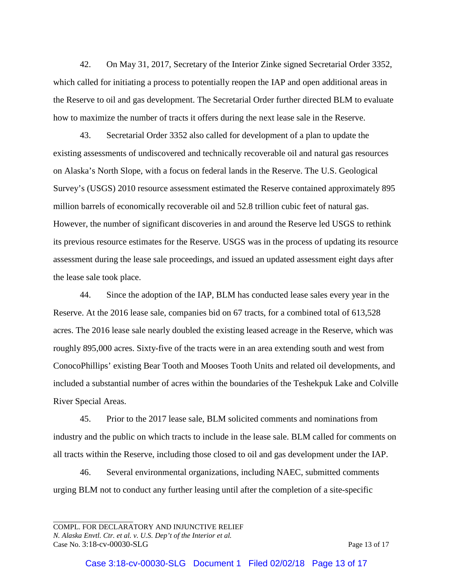42. On May 31, 2017, Secretary of the Interior Zinke signed Secretarial Order 3352, which called for initiating a process to potentially reopen the IAP and open additional areas in the Reserve to oil and gas development. The Secretarial Order further directed BLM to evaluate how to maximize the number of tracts it offers during the next lease sale in the Reserve.

43. Secretarial Order 3352 also called for development of a plan to update the existing assessments of undiscovered and technically recoverable oil and natural gas resources on Alaska's North Slope, with a focus on federal lands in the Reserve. The U.S. Geological Survey's (USGS) 2010 resource assessment estimated the Reserve contained approximately 895 million barrels of economically recoverable oil and 52.8 trillion cubic feet of natural gas. However, the number of significant discoveries in and around the Reserve led USGS to rethink its previous resource estimates for the Reserve. USGS was in the process of updating its resource assessment during the lease sale proceedings, and issued an updated assessment eight days after the lease sale took place.

44. Since the adoption of the IAP, BLM has conducted lease sales every year in the Reserve. At the 2016 lease sale, companies bid on 67 tracts, for a combined total of 613,528 acres. The 2016 lease sale nearly doubled the existing leased acreage in the Reserve, which was roughly 895,000 acres. Sixty-five of the tracts were in an area extending south and west from ConocoPhillips' existing Bear Tooth and Mooses Tooth Units and related oil developments, and included a substantial number of acres within the boundaries of the Teshekpuk Lake and Colville River Special Areas.

45. Prior to the 2017 lease sale, BLM solicited comments and nominations from industry and the public on which tracts to include in the lease sale. BLM called for comments on all tracts within the Reserve, including those closed to oil and gas development under the IAP.

46. Several environmental organizations, including NAEC, submitted comments urging BLM not to conduct any further leasing until after the completion of a site-specific

COMPL. FOR DECLARATORY AND INJUNCTIVE RELIEF *N. Alaska Envtl. Ctr. et al. v. U.S. Dep't of the Interior et al.* Case No. 3:18-cv-00030-SLG Page 13 of 17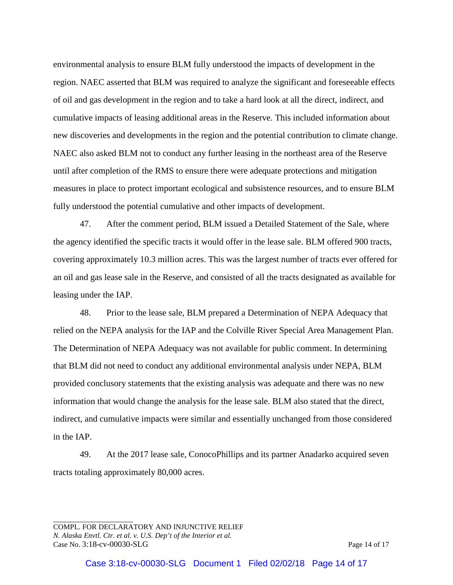environmental analysis to ensure BLM fully understood the impacts of development in the region. NAEC asserted that BLM was required to analyze the significant and foreseeable effects of oil and gas development in the region and to take a hard look at all the direct, indirect, and cumulative impacts of leasing additional areas in the Reserve. This included information about new discoveries and developments in the region and the potential contribution to climate change. NAEC also asked BLM not to conduct any further leasing in the northeast area of the Reserve until after completion of the RMS to ensure there were adequate protections and mitigation measures in place to protect important ecological and subsistence resources, and to ensure BLM fully understood the potential cumulative and other impacts of development.

47. After the comment period, BLM issued a Detailed Statement of the Sale, where the agency identified the specific tracts it would offer in the lease sale. BLM offered 900 tracts, covering approximately 10.3 million acres. This was the largest number of tracts ever offered for an oil and gas lease sale in the Reserve, and consisted of all the tracts designated as available for leasing under the IAP.

48. Prior to the lease sale, BLM prepared a Determination of NEPA Adequacy that relied on the NEPA analysis for the IAP and the Colville River Special Area Management Plan. The Determination of NEPA Adequacy was not available for public comment. In determining that BLM did not need to conduct any additional environmental analysis under NEPA, BLM provided conclusory statements that the existing analysis was adequate and there was no new information that would change the analysis for the lease sale. BLM also stated that the direct, indirect, and cumulative impacts were similar and essentially unchanged from those considered in the IAP.

49. At the 2017 lease sale, ConocoPhillips and its partner Anadarko acquired seven tracts totaling approximately 80,000 acres.

COMPL. FOR DECLARATORY AND INJUNCTIVE RELIEF *N. Alaska Envtl. Ctr. et al. v. U.S. Dep't of the Interior et al.* Case No. 3:18-cv-00030-SLG Page 14 of 17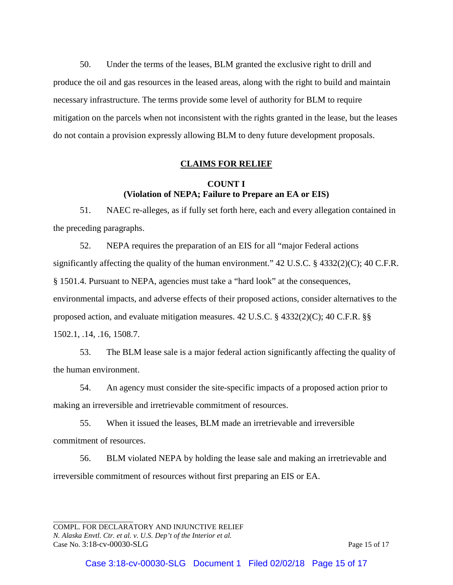50. Under the terms of the leases, BLM granted the exclusive right to drill and produce the oil and gas resources in the leased areas, along with the right to build and maintain necessary infrastructure. The terms provide some level of authority for BLM to require mitigation on the parcels when not inconsistent with the rights granted in the lease, but the leases do not contain a provision expressly allowing BLM to deny future development proposals.

#### **CLAIMS FOR RELIEF**

## **COUNT I (Violation of NEPA; Failure to Prepare an EA or EIS)**

51. NAEC re-alleges, as if fully set forth here, each and every allegation contained in the preceding paragraphs.

52. NEPA requires the preparation of an EIS for all "major Federal actions significantly affecting the quality of the human environment." 42 U.S.C. § 4332(2)(C); 40 C.F.R. § 1501.4. Pursuant to NEPA, agencies must take a "hard look" at the consequences, environmental impacts, and adverse effects of their proposed actions, consider alternatives to the proposed action, and evaluate mitigation measures. 42 U.S.C. § 4332(2)(C); 40 C.F.R. §§ 1502.1, .14, .16, 1508.7.

53. The BLM lease sale is a major federal action significantly affecting the quality of the human environment.

54. An agency must consider the site-specific impacts of a proposed action prior to making an irreversible and irretrievable commitment of resources.

55. When it issued the leases, BLM made an irretrievable and irreversible commitment of resources.

56. BLM violated NEPA by holding the lease sale and making an irretrievable and irreversible commitment of resources without first preparing an EIS or EA.

COMPL. FOR DECLARATORY AND INJUNCTIVE RELIEF *N. Alaska Envtl. Ctr. et al. v. U.S. Dep't of the Interior et al.* Case No. 3:18-cv-00030-SLG Page 15 of 17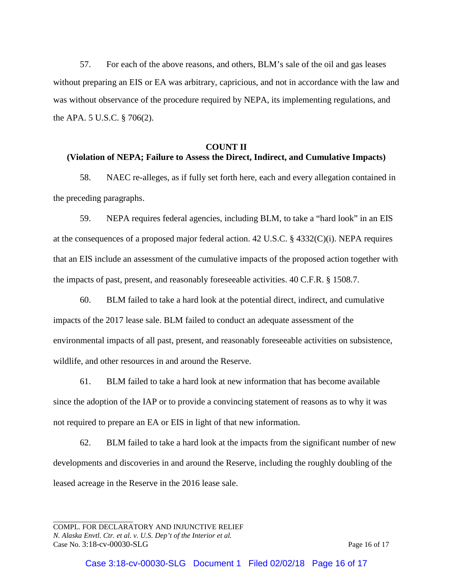57. For each of the above reasons, and others, BLM's sale of the oil and gas leases without preparing an EIS or EA was arbitrary, capricious, and not in accordance with the law and was without observance of the procedure required by NEPA, its implementing regulations, and the APA. 5 U.S.C. § 706(2).

#### **COUNT II**

## **(Violation of NEPA; Failure to Assess the Direct, Indirect, and Cumulative Impacts)**

58. NAEC re-alleges, as if fully set forth here, each and every allegation contained in the preceding paragraphs.

59. NEPA requires federal agencies, including BLM, to take a "hard look" in an EIS at the consequences of a proposed major federal action. 42 U.S.C. § 4332(C)(i). NEPA requires that an EIS include an assessment of the cumulative impacts of the proposed action together with the impacts of past, present, and reasonably foreseeable activities. 40 C.F.R. § 1508.7.

60. BLM failed to take a hard look at the potential direct, indirect, and cumulative impacts of the 2017 lease sale. BLM failed to conduct an adequate assessment of the environmental impacts of all past, present, and reasonably foreseeable activities on subsistence, wildlife, and other resources in and around the Reserve.

61. BLM failed to take a hard look at new information that has become available since the adoption of the IAP or to provide a convincing statement of reasons as to why it was not required to prepare an EA or EIS in light of that new information.

62. BLM failed to take a hard look at the impacts from the significant number of new developments and discoveries in and around the Reserve, including the roughly doubling of the leased acreage in the Reserve in the 2016 lease sale.

COMPL. FOR DECLARATORY AND INJUNCTIVE RELIEF *N. Alaska Envtl. Ctr. et al. v. U.S. Dep't of the Interior et al.* Case No. 3:18-cv-00030-SLG Page 16 of 17